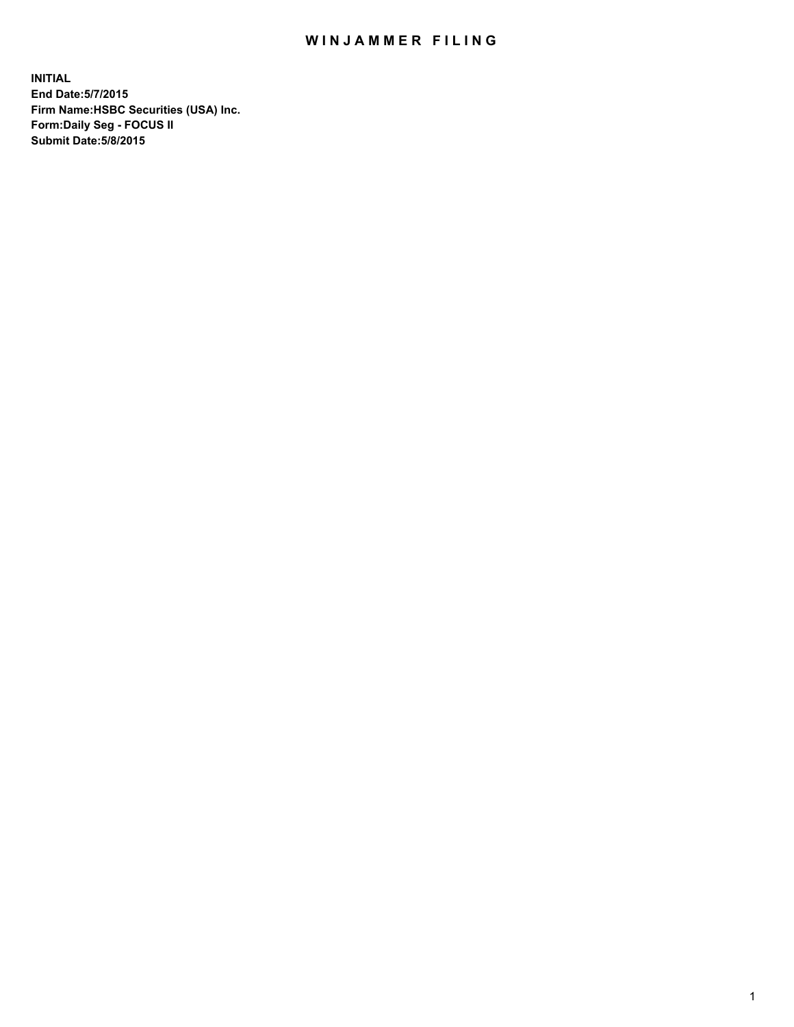## WIN JAMMER FILING

**INITIAL End Date:5/7/2015 Firm Name:HSBC Securities (USA) Inc. Form:Daily Seg - FOCUS II Submit Date:5/8/2015**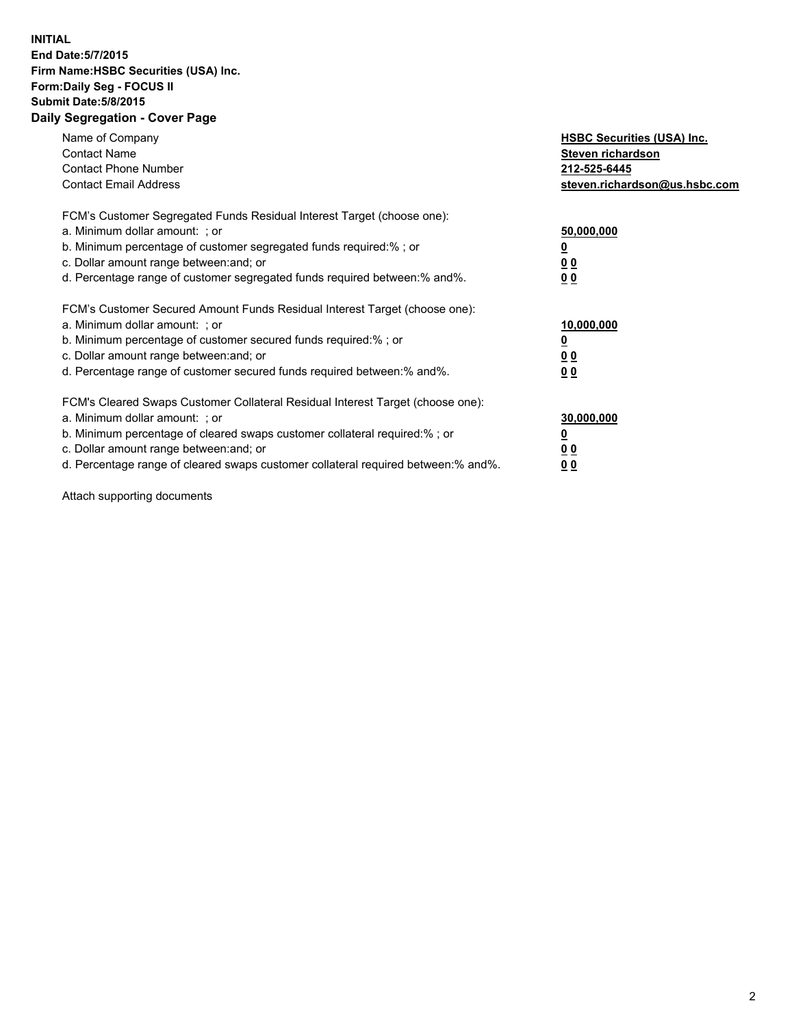## **INITIAL End Date:5/7/2015 Firm Name:HSBC Securities (USA) Inc. Form:Daily Seg - FOCUS II Submit Date:5/8/2015 Daily Segregation - Cover Page**

| Name of Company<br><b>Contact Name</b><br><b>Contact Phone Number</b><br><b>Contact Email Address</b>                                                                                                                                                                                                                         | <b>HSBC Securities (USA) Inc.</b><br>Steven richardson<br>212-525-6445<br>steven.richardson@us.hsbc.com |
|-------------------------------------------------------------------------------------------------------------------------------------------------------------------------------------------------------------------------------------------------------------------------------------------------------------------------------|---------------------------------------------------------------------------------------------------------|
| FCM's Customer Segregated Funds Residual Interest Target (choose one):<br>a. Minimum dollar amount: ; or<br>b. Minimum percentage of customer segregated funds required:% ; or<br>c. Dollar amount range between: and; or<br>d. Percentage range of customer segregated funds required between: % and %.                      | 50,000,000<br>0 <sub>0</sub><br>00                                                                      |
| FCM's Customer Secured Amount Funds Residual Interest Target (choose one):<br>a. Minimum dollar amount: ; or<br>b. Minimum percentage of customer secured funds required:%; or<br>c. Dollar amount range between: and; or<br>d. Percentage range of customer secured funds required between: % and %.                         | 10,000,000<br>00<br>00                                                                                  |
| FCM's Cleared Swaps Customer Collateral Residual Interest Target (choose one):<br>a. Minimum dollar amount: ; or<br>b. Minimum percentage of cleared swaps customer collateral required:%; or<br>c. Dollar amount range between: and; or<br>d. Percentage range of cleared swaps customer collateral required between:% and%. | 30,000,000<br>0 <sub>0</sub><br>00                                                                      |

Attach supporting documents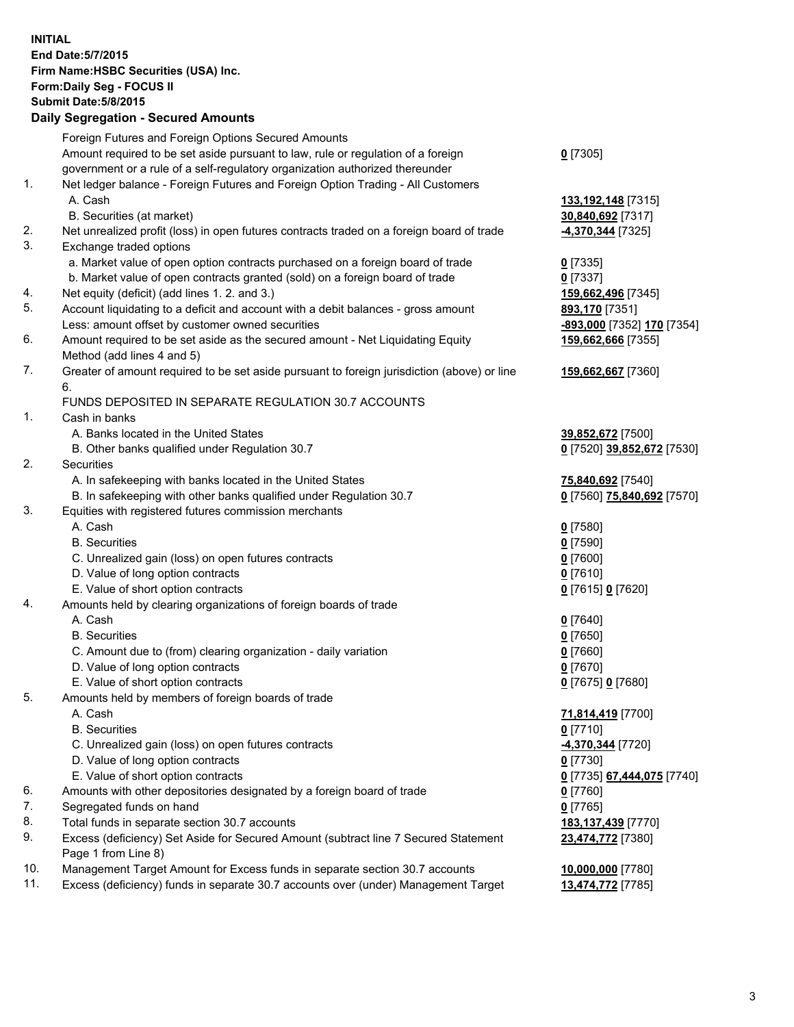**INITIAL End Date:5/7/2015 Firm Name:HSBC Securities (USA) Inc. Form:Daily Seg - FOCUS II Submit Date:5/8/2015 Daily Segregation - Secured Amounts** Foreign Futures and Foreign Options Secured Amounts Amount required to be set aside pursuant to law, rule or regulation of a foreign government or a rule of a self-regulatory organization authorized thereunder **0** [7305] 1. Net ledger balance - Foreign Futures and Foreign Option Trading - All Customers A. Cash **133,192,148** [7315] B. Securities (at market) **30,840,692** [7317] 2. Net unrealized profit (loss) in open futures contracts traded on a foreign board of trade **-4,370,344** [7325] 3. Exchange traded options a. Market value of open option contracts purchased on a foreign board of trade **0** [7335] b. Market value of open contracts granted (sold) on a foreign board of trade **0** [7337] 4. Net equity (deficit) (add lines 1. 2. and 3.) **159,662,496** [7345] 5. Account liquidating to a deficit and account with a debit balances - gross amount **893,170** [7351] Less: amount offset by customer owned securities **-893,000** [7352] **170** [7354] 6. Amount required to be set aside as the secured amount - Net Liquidating Equity Method (add lines 4 and 5) **159,662,666** [7355] 7. Greater of amount required to be set aside pursuant to foreign jurisdiction (above) or line 6. **159,662,667** [7360] FUNDS DEPOSITED IN SEPARATE REGULATION 30.7 ACCOUNTS 1. Cash in banks A. Banks located in the United States **39,852,672** [7500] B. Other banks qualified under Regulation 30.7 **0** [7520] **39,852,672** [7530] 2. Securities A. In safekeeping with banks located in the United States **75,840,692** [7540] B. In safekeeping with other banks qualified under Regulation 30.7 **0** [7560] **75,840,692** [7570] 3. Equities with registered futures commission merchants A. Cash **0** [7580] B. Securities **0** [7590] C. Unrealized gain (loss) on open futures contracts **0** [7600] D. Value of long option contracts **0** [7610] E. Value of short option contracts **0** [7615] **0** [7620] 4. Amounts held by clearing organizations of foreign boards of trade A. Cash **0** [7640] B. Securities **0** [7650] C. Amount due to (from) clearing organization - daily variation **0** [7660] D. Value of long option contracts **0** [7670] E. Value of short option contracts **0** [7675] **0** [7680] 5. Amounts held by members of foreign boards of trade A. Cash **71,814,419** [7700] B. Securities **0** [7710] C. Unrealized gain (loss) on open futures contracts **-4,370,344** [7720] D. Value of long option contracts **0** [7730] E. Value of short option contracts **0** [7735] **67,444,075** [7740] 6. Amounts with other depositories designated by a foreign board of trade **0** [7760] 7. Segregated funds on hand **0** [7765] 8. Total funds in separate section 30.7 accounts **183,137,439** [7770] 9. Excess (deficiency) Set Aside for Secured Amount (subtract line 7 Secured Statement Page 1 from Line 8) **23,474,772** [7380] 10. Management Target Amount for Excess funds in separate section 30.7 accounts **10,000,000** [7780]

11. Excess (deficiency) funds in separate 30.7 accounts over (under) Management Target **13,474,772** [7785]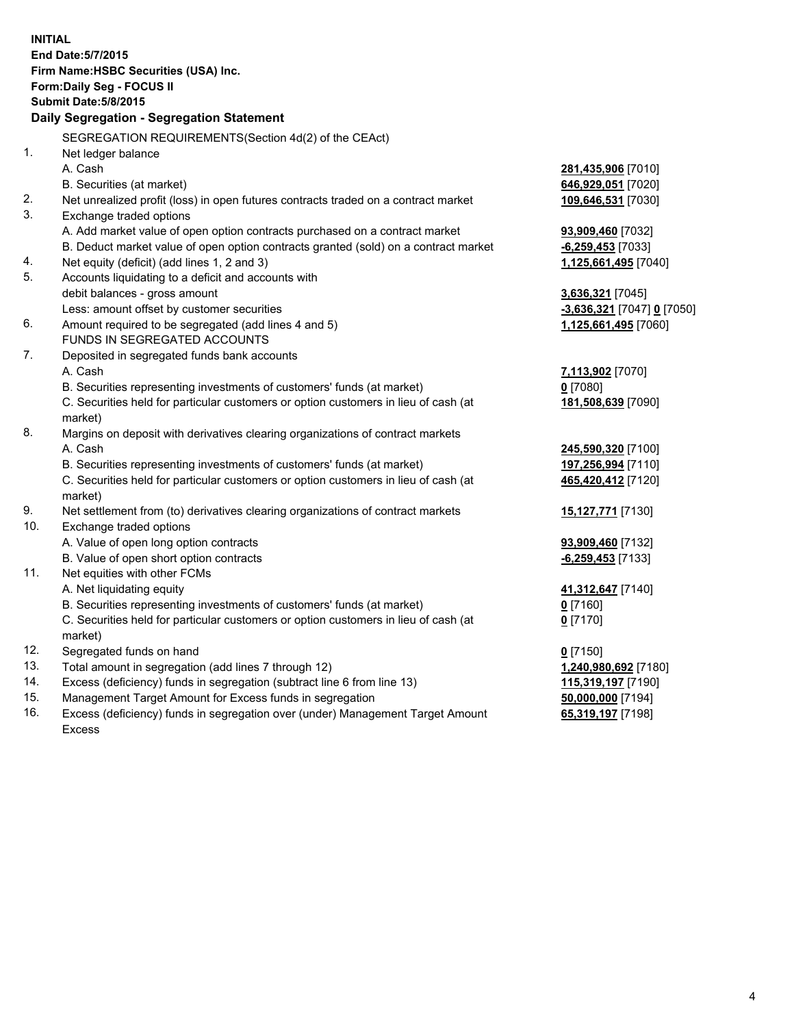| <b>INITIAL</b> | End Date: 5/7/2015<br>Firm Name: HSBC Securities (USA) Inc.<br>Form: Daily Seg - FOCUS II<br><b>Submit Date: 5/8/2015</b><br>Daily Segregation - Segregation Statement<br>SEGREGATION REQUIREMENTS(Section 4d(2) of the CEAct) |                                    |
|----------------|--------------------------------------------------------------------------------------------------------------------------------------------------------------------------------------------------------------------------------|------------------------------------|
| 1.             | Net ledger balance                                                                                                                                                                                                             |                                    |
|                | A. Cash                                                                                                                                                                                                                        | 281,435,906 [7010]                 |
| 2.             | B. Securities (at market)                                                                                                                                                                                                      | 646,929,051 [7020]                 |
| 3.             | Net unrealized profit (loss) in open futures contracts traded on a contract market<br>Exchange traded options                                                                                                                  | 109,646,531 [7030]                 |
|                | A. Add market value of open option contracts purchased on a contract market                                                                                                                                                    | 93,909,460 [7032]                  |
|                | B. Deduct market value of open option contracts granted (sold) on a contract market                                                                                                                                            | $-6,259,453$ [7033]                |
| 4.             | Net equity (deficit) (add lines 1, 2 and 3)                                                                                                                                                                                    | 1,125,661,495 [7040]               |
| 5.             | Accounts liquidating to a deficit and accounts with                                                                                                                                                                            |                                    |
|                | debit balances - gross amount                                                                                                                                                                                                  | 3,636,321 [7045]                   |
|                | Less: amount offset by customer securities                                                                                                                                                                                     | -3,636,321 [7047] 0 [7050]         |
| 6.             | Amount required to be segregated (add lines 4 and 5)                                                                                                                                                                           | 1,125,661,495 [7060]               |
|                | FUNDS IN SEGREGATED ACCOUNTS                                                                                                                                                                                                   |                                    |
| 7.             | Deposited in segregated funds bank accounts                                                                                                                                                                                    |                                    |
|                | A. Cash                                                                                                                                                                                                                        | 7,113,902 [7070]                   |
|                | B. Securities representing investments of customers' funds (at market)                                                                                                                                                         | $0$ [7080]                         |
|                | C. Securities held for particular customers or option customers in lieu of cash (at<br>market)                                                                                                                                 | 181,508,639 [7090]                 |
| 8.             | Margins on deposit with derivatives clearing organizations of contract markets                                                                                                                                                 |                                    |
|                | A. Cash                                                                                                                                                                                                                        | 245,590,320 [7100]                 |
|                | B. Securities representing investments of customers' funds (at market)                                                                                                                                                         | 197,256,994 [7110]                 |
|                | C. Securities held for particular customers or option customers in lieu of cash (at<br>market)                                                                                                                                 | 465,420,412 [7120]                 |
| 9.             | Net settlement from (to) derivatives clearing organizations of contract markets                                                                                                                                                | <b>15,127,771</b> [7130]           |
| 10.            | Exchange traded options                                                                                                                                                                                                        |                                    |
|                | A. Value of open long option contracts                                                                                                                                                                                         | 93,909,460 [7132]                  |
|                | B. Value of open short option contracts                                                                                                                                                                                        | $-6,259,453$ [7133]                |
| 11.            | Net equities with other FCMs                                                                                                                                                                                                   |                                    |
|                | A. Net liquidating equity                                                                                                                                                                                                      | 41,312,647 [7140]                  |
|                | B. Securities representing investments of customers' funds (at market)                                                                                                                                                         | 0 [7160]                           |
|                | C. Securities held for particular customers or option customers in lieu of cash (at                                                                                                                                            | $0$ [7170]                         |
| 12.            | market)<br>Segregated funds on hand                                                                                                                                                                                            |                                    |
| 13.            | Total amount in segregation (add lines 7 through 12)                                                                                                                                                                           | $0$ [7150]<br>1,240,980,692 [7180] |
| 14.            | Excess (deficiency) funds in segregation (subtract line 6 from line 13)                                                                                                                                                        | 115,319,197 [7190]                 |
| 15.            | Management Target Amount for Excess funds in segregation                                                                                                                                                                       | 50,000,000 [7194]                  |
| 16.            | Excess (deficiency) funds in segregation over (under) Management Target Amount                                                                                                                                                 | 65,319,197 [7198]                  |
|                | <b>Excess</b>                                                                                                                                                                                                                  |                                    |